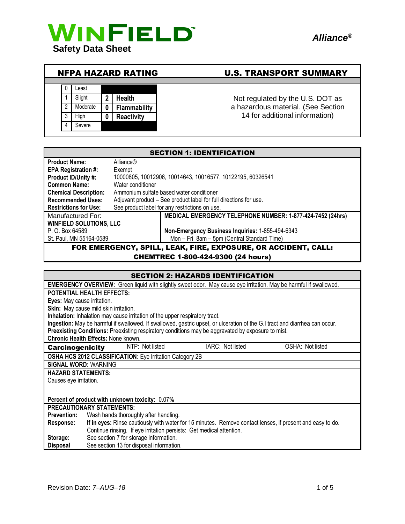

### NFPA HAZARD RATING U.S. TRANSPORT SUMMARY



# Not regulated by the U.S. DOT as a hazardous material. (See Section

14 for additional information)

| <b>SECTION 1: IDENTIFICATION</b>                                       |                                                                   |  |  |
|------------------------------------------------------------------------|-------------------------------------------------------------------|--|--|
| <b>Product Name:</b>                                                   | Alliance®                                                         |  |  |
| <b>EPA Registration #:</b>                                             | Exempt                                                            |  |  |
| Product ID/Unity #:                                                    | 10000805, 10012906, 10014643, 10016577, 10122195, 60326541        |  |  |
| <b>Common Name:</b>                                                    | Water conditioner                                                 |  |  |
| <b>Chemical Description:</b>                                           | Ammonium sulfate based water conditioner                          |  |  |
| <b>Recommended Uses:</b>                                               | Adjuvant product – See product label for full directions for use. |  |  |
| <b>Restrictions for Use:</b>                                           | See product label for any restrictions on use.                    |  |  |
| Manufactured For:                                                      | MEDICAL EMERGENCY TELEPHONE NUMBER: 1-877-424-7452 (24hrs)        |  |  |
| <b>WINFIELD SOLUTIONS, LLC</b>                                         |                                                                   |  |  |
| P. O. Box 64589                                                        | Non-Emergency Business Inquiries: 1-855-494-6343                  |  |  |
| Mon - Fri 8am - 5pm (Central Standard Time)<br>St. Paul, MN 55164-0589 |                                                                   |  |  |
| FOR EMERGENCY, SPILL, LEAK, FIRE, EXPOSURE, OR ACCIDENT, CALL:         |                                                                   |  |  |

#### CHEMTREC 1-800-424-9300 (24 hours)

| <b>SECTION 2: HAZARDS IDENTIFICATION</b>                                                                                    |  |  |  |  |
|-----------------------------------------------------------------------------------------------------------------------------|--|--|--|--|
| <b>EMERGENCY OVERVIEW:</b> Green liquid with slightly sweet odor. May cause eye irritation. May be harmful if swallowed.    |  |  |  |  |
| <b>POTENTIAL HEALTH EFFECTS:</b>                                                                                            |  |  |  |  |
| Eyes: May cause irritation.                                                                                                 |  |  |  |  |
| Skin: May cause mild skin irritation.                                                                                       |  |  |  |  |
| Inhalation: Inhalation may cause irritation of the upper respiratory tract.                                                 |  |  |  |  |
| Ingestion: May be harmful if swallowed. If swallowed, gastric upset, or ulceration of the G.I tract and diarrhea can occur. |  |  |  |  |
| Preexisting Conditions: Preexisting respiratory conditions may be aggravated by exposure to mist.                           |  |  |  |  |
| <b>Chronic Health Effects: None known.</b>                                                                                  |  |  |  |  |
| NTP: Not listed<br>IARC: Not listed<br>OSHA: Not listed<br><b>Carcinogenicity</b>                                           |  |  |  |  |
| <b>OSHA HCS 2012 CLASSIFICATION:</b> Eye Irritation Category 2B                                                             |  |  |  |  |
| <b>SIGNAL WORD: WARNING</b>                                                                                                 |  |  |  |  |
| <b>HAZARD STATEMENTS:</b>                                                                                                   |  |  |  |  |
| Causes eye irritation.                                                                                                      |  |  |  |  |
|                                                                                                                             |  |  |  |  |
| Percent of product with unknown toxicity: 0.07%                                                                             |  |  |  |  |
| <b>PRECAUTIONARY STATEMENTS:</b>                                                                                            |  |  |  |  |
| <b>Prevention:</b><br>Wash hands thoroughly after handling.                                                                 |  |  |  |  |
| If in eyes: Rinse cautiously with water for 15 minutes. Remove contact lenses, if present and easy to do.<br>Response:      |  |  |  |  |
| Continue rinsing. If eye irritation persists: Get medical attention.                                                        |  |  |  |  |
| See section 7 for storage information.<br>Storage:                                                                          |  |  |  |  |
| See section 13 for disposal information.<br><b>Disposal</b>                                                                 |  |  |  |  |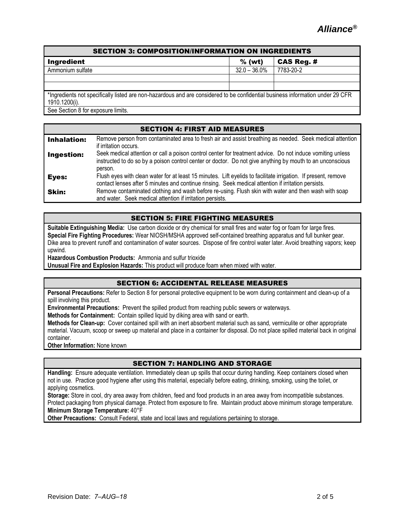# SECTION 3: COMPOSITION/INFORMATION ON INGREDIENTS Ingredient % (wt) CAS Reg. # Ammonium sulfate 32.0 – 36.0% 7783-20-2 \*Ingredients not specifically listed are non-hazardous and are considered to be confidential business information under 29 CFR 1910.1200(i). See Section 8 for exposure limits.

| <b>SECTION 4: FIRST AID MEASURES</b> |                                                                                                                                                                                                                                    |  |  |
|--------------------------------------|------------------------------------------------------------------------------------------------------------------------------------------------------------------------------------------------------------------------------------|--|--|
| <b>Inhalation:</b>                   | Remove person from contaminated area to fresh air and assist breathing as needed. Seek medical attention<br>if irritation occurs.                                                                                                  |  |  |
| <b>Ingestion:</b>                    | Seek medical attention or call a poison control center for treatment advice. Do not induce vomiting unless<br>instructed to do so by a poison control center or doctor. Do not give anything by mouth to an unconscious<br>person. |  |  |
| Eyes:                                | Flush eyes with clean water for at least 15 minutes. Lift eyelids to facilitate irrigation. If present, remove<br>contact lenses after 5 minutes and continue rinsing. Seek medical attention if irritation persists.              |  |  |
| <b>Skin:</b>                         | Remove contaminated clothing and wash before re-using. Flush skin with water and then wash with soap<br>and water. Seek medical attention if irritation persists.                                                                  |  |  |

### SECTION 5: FIRE FIGHTING MEASURES

**Suitable Extinguishing Media:** Use carbon dioxide or dry chemical for small fires and water fog or foam for large fires. **Special Fire Fighting Procedures:** Wear NIOSH/MSHA approved self-contained breathing apparatus and full bunker gear. Dike area to prevent runoff and contamination of water sources. Dispose of fire control water later. Avoid breathing vapors; keep upwind.

**Hazardous Combustion Products:** Ammonia and sulfur trioxide

**Unusual Fire and Explosion Hazards:** This product will produce foam when mixed with water.

#### SECTION 6: ACCIDENTAL RELEASE MEASURES

**Personal Precautions:** Refer to Section 8 for personal protective equipment to be worn during containment and clean-up of a spill involving this product.

**Environmental Precautions:** Prevent the spilled product from reaching public sewers or waterways.

**Methods for Containment:** Contain spilled liquid by diking area with sand or earth.

**Methods for Clean-up:** Cover contained spill with an inert absorbent material such as sand, vermiculite or other appropriate material. Vacuum, scoop or sweep up material and place in a container for disposal. Do not place spilled material back in original container.

**Other Information:** None known

#### SECTION 7: HANDLING AND STORAGE

**Handling:** Ensure adequate ventilation. Immediately clean up spills that occur during handling. Keep containers closed when not in use. Practice good hygiene after using this material, especially before eating, drinking, smoking, using the toilet, or applying cosmetics.

**Storage:** Store in cool, dry area away from children, feed and food products in an area away from incompatible substances. Protect packaging from physical damage. Protect from exposure to fire. Maintain product above minimum storage temperature. **Minimum Storage Temperature:** 40°F

**Other Precautions:** Consult Federal, state and local laws and regulations pertaining to storage.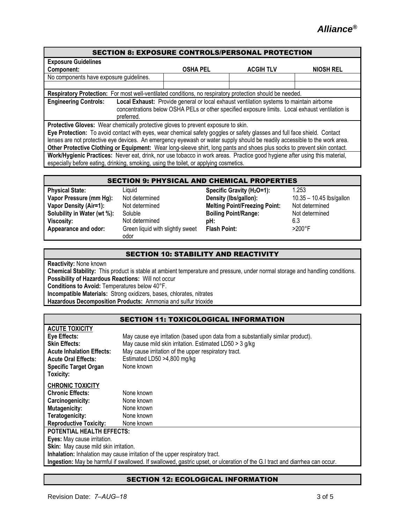| <b>SECTION 8: EXPOSURE CONTROLS/PERSONAL PROTECTION</b>                                                                                                                                                                                                                                                                                                                            |                 |                  |                  |
|------------------------------------------------------------------------------------------------------------------------------------------------------------------------------------------------------------------------------------------------------------------------------------------------------------------------------------------------------------------------------------|-----------------|------------------|------------------|
| <b>Exposure Guidelines</b>                                                                                                                                                                                                                                                                                                                                                         |                 |                  |                  |
| Component:                                                                                                                                                                                                                                                                                                                                                                         | <b>OSHA PEL</b> | <b>ACGIH TLV</b> | <b>NIOSH REL</b> |
| No components have exposure guidelines.                                                                                                                                                                                                                                                                                                                                            |                 |                  |                  |
|                                                                                                                                                                                                                                                                                                                                                                                    |                 |                  |                  |
| Respiratory Protection: For most well-ventilated conditions, no respiratory protection should be needed.                                                                                                                                                                                                                                                                           |                 |                  |                  |
| <b>Engineering Controls:</b><br>Local Exhaust: Provide general or local exhaust ventilation systems to maintain airborne<br>concentrations below OSHA PELs or other specified exposure limits. Local exhaust ventilation is<br>preferred.                                                                                                                                          |                 |                  |                  |
| Protective Gloves: Wear chemically protective gloves to prevent exposure to skin.                                                                                                                                                                                                                                                                                                  |                 |                  |                  |
| Eye Protection: To avoid contact with eyes, wear chemical safety goggles or safety glasses and full face shield. Contact<br>lenses are not protective eye devices. An emergency eyewash or water supply should be readily accessible to the work area.<br>Other Protective Clothing or Equipment: Wear long-sleeve shirt, long pants and shoes plus socks to prevent skin contact. |                 |                  |                  |
| Work/Hygienic Practices: Never eat, drink, nor use tobacco in work areas. Practice good hygiene after using this material,<br>especially before eating, drinking, smoking, using the toilet, or applying cosmetics.                                                                                                                                                                |                 |                  |                  |

| <b>SECTION 9: PHYSICAL AND CHEMICAL PROPERTIES</b> |                                          |                                        |                          |  |
|----------------------------------------------------|------------------------------------------|----------------------------------------|--------------------------|--|
| <b>Physical State:</b>                             | Liauid                                   | Specific Gravity (H <sub>2</sub> O=1): | 1.253                    |  |
| Vapor Pressure (mm Hg):                            | Not determined                           | Density (Ibs/gallon):                  | 10.35 - 10.45 lbs/gallon |  |
| <b>Vapor Density (Air=1):</b>                      | Not determined                           | <b>Melting Point/Freezing Point:</b>   | Not determined           |  |
| Solubility in Water (wt %):                        | Soluble                                  | <b>Boiling Point/Range:</b>            | Not determined           |  |
| Viscosity:                                         | Not determined                           | pH:                                    | 6.3                      |  |
| Appearance and odor:                               | Green liquid with slightly sweet<br>odor | <b>Flash Point:</b>                    | $>200^\circ F$           |  |

#### SECTION 10: STABILITY AND REACTIVITY

**Reactivity:** None known

**Chemical Stability:** This product is stable at ambient temperature and pressure, under normal storage and handling conditions. **Possibility of Hazardous Reactions:** Will not occur

**Conditions to Avoid:** Temperatures below 40°F.

**Incompatible Materials:** Strong oxidizers, bases, chlorates, nitrates

**Hazardous Decomposition Products:** Ammonia and sulfur trioxide

| SECTION 11: TOXICOLOGICAL INFORMATION |  |  |  |  |  |  |
|---------------------------------------|--|--|--|--|--|--|
|---------------------------------------|--|--|--|--|--|--|

| <b>ACUTE TOXICITY</b>                                                       |                                                                                                                             |  |  |
|-----------------------------------------------------------------------------|-----------------------------------------------------------------------------------------------------------------------------|--|--|
| Eye Effects:                                                                | May cause eye irritation (based upon data from a substantially similar product).                                            |  |  |
| <b>Skin Effects:</b>                                                        | May cause mild skin irritation. Estimated LD50 $>$ 3 g/kg                                                                   |  |  |
| <b>Acute Inhalation Effects:</b>                                            | May cause irritation of the upper respiratory tract.                                                                        |  |  |
| <b>Acute Oral Effects:</b>                                                  | Estimated LD50 >4,800 mg/kg                                                                                                 |  |  |
| <b>Specific Target Organ</b>                                                | None known                                                                                                                  |  |  |
| Toxicity:                                                                   |                                                                                                                             |  |  |
| <b>CHRONIC TOXICITY</b>                                                     |                                                                                                                             |  |  |
| <b>Chronic Effects:</b>                                                     | None known                                                                                                                  |  |  |
| Carcinogenicity:                                                            | None known                                                                                                                  |  |  |
| <b>Mutagenicity:</b>                                                        | None known                                                                                                                  |  |  |
| Teratogenicity:                                                             | None known                                                                                                                  |  |  |
| <b>Reproductive Toxicity:</b>                                               | None known                                                                                                                  |  |  |
| <b>POTENTIAL HEALTH EFFECTS:</b>                                            |                                                                                                                             |  |  |
| Eyes: May cause irritation.                                                 |                                                                                                                             |  |  |
| <b>Skin:</b> May cause mild skin irritation.                                |                                                                                                                             |  |  |
| Inhalation: Inhalation may cause irritation of the upper respiratory tract. |                                                                                                                             |  |  |
|                                                                             | Ingestion: May be harmful if swallowed. If swallowed, gastric upset, or ulceration of the G.I tract and diarrhea can occur. |  |  |

#### SECTION 12: ECOLOGICAL INFORMATION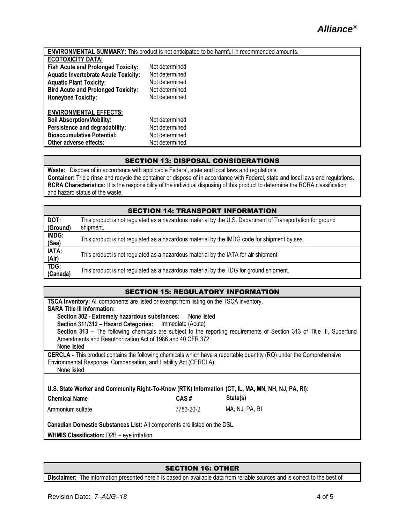|                                             | <b>ENVIRONMENTAL SUMMARY:</b> This product is not anticipated to be harmful in recommended amounts. |
|---------------------------------------------|-----------------------------------------------------------------------------------------------------|
| <b>ECOTOXICITY DATA:</b>                    |                                                                                                     |
| <b>Fish Acute and Prolonged Toxicity:</b>   | Not determined                                                                                      |
| <b>Aquatic Invertebrate Acute Toxicity:</b> | Not determined                                                                                      |
| <b>Aquatic Plant Toxicity:</b>              | Not determined                                                                                      |
| <b>Bird Acute and Prolonged Toxicity:</b>   | Not determined                                                                                      |
| <b>Honeybee Toxicity:</b>                   | Not determined                                                                                      |
| <b>ENVIRONMENTAL EFFECTS:</b>               |                                                                                                     |
| <b>Soil Absorption/Mobility:</b>            | Not determined                                                                                      |
| Persistence and degradability:              | Not determined                                                                                      |
| <b>Bioaccumulative Potential:</b>           | Not determined                                                                                      |
| Other adverse effects:                      | Not determined                                                                                      |

#### SECTION 13: DISPOSAL CONSIDERATIONS

**Waste:** Dispose of in accordance with applicable Federal, state and local laws and regulations. **Container:** Triple rinse and recycle the container or dispose of in accordance with Federal, state and local laws and regulations. **RCRA Characteristics:** It is the responsibility of the individual disposing of this product to determine the RCRA classification and hazard status of the waste.

|  | <b>SECTION 14: TRANSPORT INFORMATION</b> |  |
|--|------------------------------------------|--|
|  |                                          |  |

| DOT:<br>(Ground) | This product is not regulated as a hazardous material by the U.S. Department of Transportation for ground<br>shipment. |
|------------------|------------------------------------------------------------------------------------------------------------------------|
| IMDG:<br>(Sea)   | This product is not regulated as a hazardous material by the IMDG code for shipment by sea.                            |
| IATA:<br>(Air)   | This product is not regulated as a hazardous material by the IATA for air shipment                                     |
| TDG:<br>(Canada) | This product is not regulated as a hazardous material by the TDG for ground shipment.                                  |

#### SECTION 15: REGULATORY INFORMATION

| <b>TSCA Inventory:</b> All components are listed or exempt from listing on the TSCA inventory.<br><b>SARA Title III Information:</b> |           |                                                                                                                        |  |
|--------------------------------------------------------------------------------------------------------------------------------------|-----------|------------------------------------------------------------------------------------------------------------------------|--|
| Section 302 - Extremely hazardous substances: None listed                                                                            |           |                                                                                                                        |  |
| Section 311/312 - Hazard Categories: Immediate (Acute)                                                                               |           |                                                                                                                        |  |
|                                                                                                                                      |           | Section 313 - The following chemicals are subject to the reporting requirements of Section 313 of Title III, Superfund |  |
| Amendments and Reauthorization Act of 1986 and 40 CFR 372:                                                                           |           |                                                                                                                        |  |
| None listed                                                                                                                          |           |                                                                                                                        |  |
| CERCLA - This product contains the following chemicals which have a reportable quantity (RQ) under the Comprehensive                 |           |                                                                                                                        |  |
| Environmental Response, Compensation, and Liability Act (CERCLA):                                                                    |           |                                                                                                                        |  |
| None listed                                                                                                                          |           |                                                                                                                        |  |
|                                                                                                                                      |           |                                                                                                                        |  |
| U.S. State Worker and Community Right-To-Know (RTK) Information (CT, IL, MA, MN, NH, NJ, PA, RI):                                    |           |                                                                                                                        |  |
| <b>Chemical Name</b>                                                                                                                 | CAS#      | State(s)                                                                                                               |  |
| Ammonium sulfate                                                                                                                     | 7783-20-2 | MA, NJ, PA, RI                                                                                                         |  |
|                                                                                                                                      |           |                                                                                                                        |  |
| Canadian Domestic Substances List: All components are listed on the DSL.                                                             |           |                                                                                                                        |  |
| <b>WHMIS Classification: D2B - eye irritation</b>                                                                                    |           |                                                                                                                        |  |
|                                                                                                                                      |           |                                                                                                                        |  |

#### SECTION 16: OTHER

**Disclaimer:** The information presented herein is based on available data from reliable sources and is correct to the best of